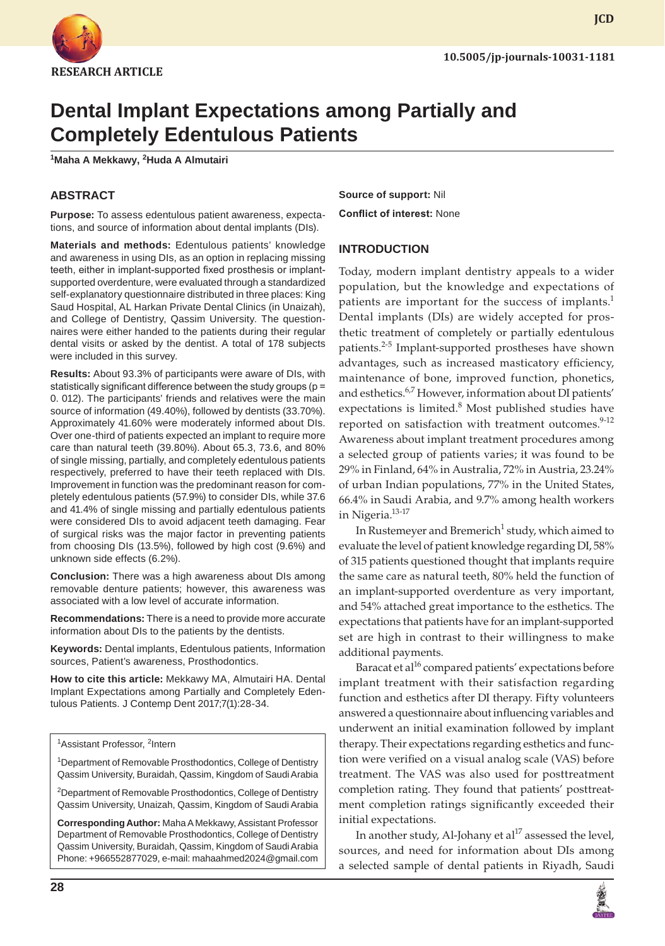

**JCD**

# **Dental Implant Expectations among Partially and Completely Edentulous Patients**

**1 Maha A Mekkawy, <sup>2</sup> Huda A Almutairi**

## **ABSTRACT**

**Purpose:** To assess edentulous patient awareness, expectations, and source of information about dental implants (DIs).

**Materials and methods:** Edentulous patients' knowledge and awareness in using DIs, as an option in replacing missing teeth, either in implant-supported fixed prosthesis or implantsupported overdenture, were evaluated through a standardized self-explanatory questionnaire distributed in three places: King Saud Hospital, AL Harkan Private Dental Clinics (in Unaizah), and College of Dentistry, Qassim University. The questionnaires were either handed to the patients during their regular dental visits or asked by the dentist. A total of 178 subjects were included in this survey.

**Results:** About 93.3% of participants were aware of DIs, with statistically significant difference between the study groups (p = 0. 012). The participants' friends and relatives were the main source of information (49.40%), followed by dentists (33.70%). Approximately 41.60% were moderately informed about DIs. Over one-third of patients expected an implant to require more care than natural teeth (39.80%). About 65.3, 73.6, and 80% of single missing, partially, and completely edentulous patients respectively, preferred to have their teeth replaced with DIs. Improvement in function was the predominant reason for completely edentulous patients (57.9%) to consider DIs, while 37.6 and 41.4% of single missing and partially edentulous patients were considered DIs to avoid adjacent teeth damaging. Fear of surgical risks was the major factor in preventing patients from choosing DIs (13.5%), followed by high cost (9.6%) and unknown side effects (6.2%).

**Conclusion:** There was a high awareness about DIs among removable denture patients; however, this awareness was associated with a low level of accurate information.

**Recommendations:** There is a need to provide more accurate information about DIs to the patients by the dentists.

**Keywords:** Dental implants, Edentulous patients, Information sources, Patient's awareness, Prosthodontics.

**How to cite this article:** Mekkawy MA, Almutairi HA. Dental Implant Expectations among Partially and Completely Edentulous Patients. J Contemp Dent 2017;7(1):28-34.

<sup>1</sup>Assistant Professor, <sup>2</sup>Intern

<sup>1</sup> Department of Removable Prosthodontics, College of Dentistry Qassim University, Buraidah, Qassim, Kingdom of Saudi Arabia

<sup>2</sup>Department of Removable Prosthodontics, College of Dentistry Qassim University, Unaizah, Qassim, Kingdom of Saudi Arabia

**Corresponding Author:** Maha A Mekkawy, Assistant Professor Department of Removable Prosthodontics, College of Dentistry Qassim University, Buraidah, Qassim, Kingdom of Saudi Arabia Phone: +966552877029, e-mail: mahaahmed2024@gmail.com **Source of support:** Nil **Conflict of interest:** None

#### **INTRODUCTION**

Today, modern implant dentistry appeals to a wider population, but the knowledge and expectations of patients are important for the success of implants.<sup>1</sup> Dental implants (DIs) are widely accepted for prosthetic treatment of completely or partially edentulous patients.<sup>2-5</sup> Implant-supported prostheses have shown advantages, such as increased masticatory efficiency, maintenance of bone, improved function, phonetics, and esthetics.<sup>6,7</sup> However, information about DI patients' expectations is limited.<sup>8</sup> Most published studies have reported on satisfaction with treatment outcomes.<sup>9-12</sup> Awareness about implant treatment procedures among a selected group of patients varies; it was found to be 29% in Finland, 64% in Australia, 72% in Austria, 23.24% of urban Indian populations, 77% in the United States, 66.4% in Saudi Arabia, and 9.7% among health workers in Nigeria.<sup>13-17</sup>

In Rustemeyer and Bremerich $^1$  study, which aimed to evaluate the level of patient knowledge regarding DI, 58% of 315 patients questioned thought that implants require the same care as natural teeth, 80% held the function of an implant-supported overdenture as very important, and 54% attached great importance to the esthetics. The expectations that patients have for an implant-supported set are high in contrast to their willingness to make additional payments.

Baracat et al<sup>16</sup> compared patients' expectations before implant treatment with their satisfaction regarding function and esthetics after DI therapy. Fifty volunteers answered a questionnaire about influencing variables and underwent an initial examination followed by implant therapy. Their expectations regarding esthetics and function were verified on a visual analog scale (VAS) before treatment. The VAS was also used for posttreatment completion rating. They found that patients' posttreatment completion ratings significantly exceeded their initial expectations.

In another study, Al-Johany et  $al^{17}$  assessed the level, sources, and need for information about DIs among a selected sample of dental patients in Riyadh, Saudi

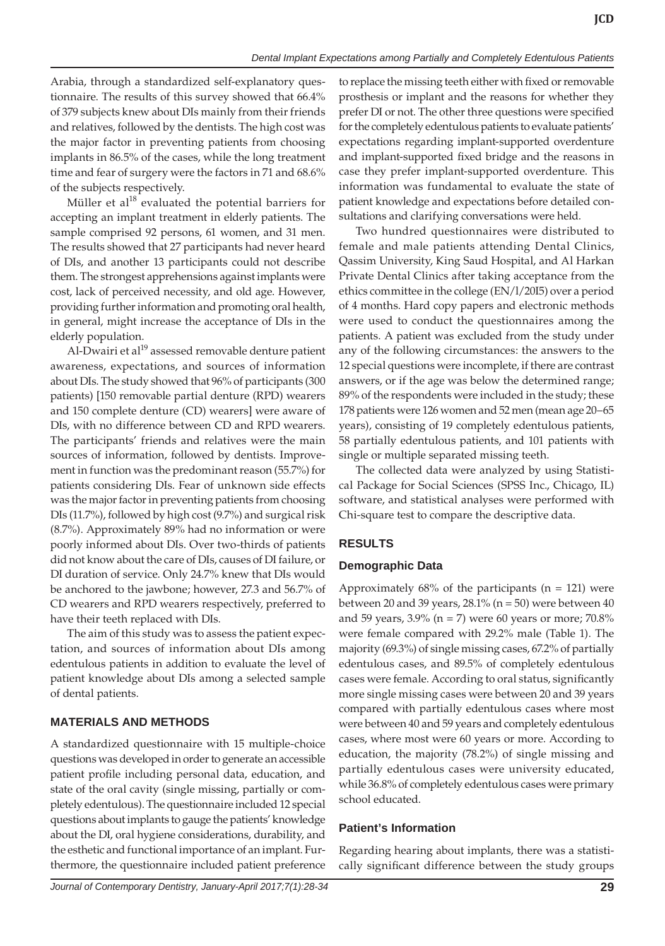Arabia, through a standardized self-explanatory questionnaire. The results of this survey showed that 66.4% of 379 subjects knew about DIs mainly from their friends and relatives, followed by the dentists. The high cost was the major factor in preventing patients from choosing implants in 86.5% of the cases, while the long treatment time and fear of surgery were the factors in 71 and 68.6% of the subjects respectively.

Müller et  $al^{18}$  evaluated the potential barriers for accepting an implant treatment in elderly patients. The sample comprised 92 persons, 61 women, and 31 men. The results showed that 27 participants had never heard of DIs, and another 13 participants could not describe them. The strongest apprehensions against implants were cost, lack of perceived necessity, and old age. However, providing further information and promoting oral health, in general, might increase the acceptance of DIs in the elderly population.

Al-Dwairi et al $^{19}$  assessed removable denture patient awareness, expectations, and sources of information about DIs. The study showed that 96% of participants (300 patients) [150 removable partial denture (RPD) wearers and 150 complete denture (CD) wearers] were aware of DIs, with no difference between CD and RPD wearers. The participants' friends and relatives were the main sources of information, followed by dentists. Improvement in function was the predominant reason (55.7%) for patients considering DIs. Fear of unknown side effects was the major factor in preventing patients from choosing DIs (11.7%), followed by high cost (9.7%) and surgical risk (8.7%). Approximately 89% had no information or were poorly informed about DIs. Over two-thirds of patients did not know about the care of DIs, causes of DI failure, or DI duration of service. Only 24.7% knew that DIs would be anchored to the jawbone; however, 27.3 and 56.7% of CD wearers and RPD wearers respectively, preferred to have their teeth replaced with DIs.

The aim of this study was to assess the patient expectation, and sources of information about DIs among edentulous patients in addition to evaluate the level of patient knowledge about DIs among a selected sample of dental patients.

# **MATERIALS AND METHODS**

A standardized questionnaire with 15 multiple-choice questions was developed in order to generate an accessible patient profile including personal data, education, and state of the oral cavity (single missing, partially or completely edentulous). The questionnaire included 12 special questions about implants to gauge the patients' knowledge about the DI, oral hygiene considerations, durability, and the esthetic and functional importance of an implant. Furthermore, the questionnaire included patient preference to replace the missing teeth either with fixed or removable prosthesis or implant and the reasons for whether they prefer DI or not. The other three questions were specified for the completely edentulous patients to evaluate patients' expectations regarding implant-supported overdenture and implant-supported fixed bridge and the reasons in case they prefer implant-supported overdenture. This information was fundamental to evaluate the state of patient knowledge and expectations before detailed consultations and clarifying conversations were held.

Two hundred questionnaires were distributed to female and male patients attending Dental Clinics, Qassim University, King Saud Hospital, and Al Harkan Private Dental Clinics after taking acceptance from the ethics committee in the college (EN/l/20I5) over a period of 4 months. Hard copy papers and electronic methods were used to conduct the questionnaires among the patients. A patient was excluded from the study under any of the following circumstances: the answers to the 12 special questions were incomplete, if there are contrast answers, or if the age was below the determined range; 89% of the respondents were included in the study; these 178 patients were 126 women and 52 men (mean age 20–65 years), consisting of 19 completely edentulous patients, 58 partially edentulous patients, and 101 patients with single or multiple separated missing teeth.

The collected data were analyzed by using Statistical Package for Social Sciences (SPSS Inc., Chicago, IL) software, and statistical analyses were performed with Chi-square test to compare the descriptive data.

# **RESULTS**

# **Demographic Data**

Approximately  $68\%$  of the participants ( $n = 121$ ) were between 20 and 39 years,  $28.1\%$  (n = 50) were between 40 and 59 years,  $3.9\%$  (n = 7) were 60 years or more;  $70.8\%$ were female compared with 29.2% male (Table 1). The majority (69.3%) of single missing cases, 67.2% of partially edentulous cases, and 89.5% of completely edentulous cases were female. According to oral status, significantly more single missing cases were between 20 and 39 years compared with partially edentulous cases where most were between 40 and 59 years and completely edentulous cases, where most were 60 years or more. According to education, the majority (78.2%) of single missing and partially edentulous cases were university educated, while 36.8% of completely edentulous cases were primary school educated.

# **Patient's Information**

Regarding hearing about implants, there was a statistically significant difference between the study groups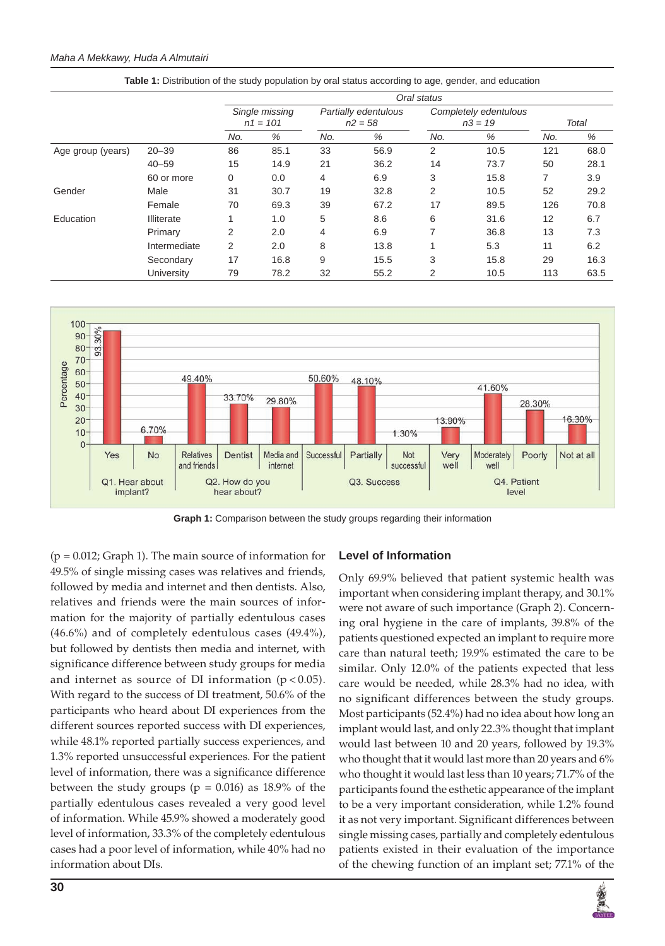#### *Maha A Mekkawy, Huda A Almutairi*

|                   |                   | Oral status                  |      |                                   |      |                                    |      |       |      |
|-------------------|-------------------|------------------------------|------|-----------------------------------|------|------------------------------------|------|-------|------|
|                   |                   | Single missing<br>$n1 = 101$ |      | Partially edentulous<br>$n2 = 58$ |      | Completely edentulous<br>$n3 = 19$ |      | Total |      |
|                   |                   | No.                          | %    | No.                               | %    | No.                                | %    | No.   | %    |
| Age group (years) | $20 - 39$         | 86                           | 85.1 | 33                                | 56.9 | 2                                  | 10.5 | 121   | 68.0 |
|                   | $40 - 59$         | 15                           | 14.9 | 21                                | 36.2 | 14                                 | 73.7 | 50    | 28.1 |
|                   | 60 or more        | 0                            | 0.0  | 4                                 | 6.9  | 3                                  | 15.8 | 7     | 3.9  |
| Gender            | Male              | 31                           | 30.7 | 19                                | 32.8 | 2                                  | 10.5 | 52    | 29.2 |
|                   | Female            | 70                           | 69.3 | 39                                | 67.2 | 17                                 | 89.5 | 126   | 70.8 |
| Education         | <b>Illiterate</b> |                              | 1.0  | 5                                 | 8.6  | 6                                  | 31.6 | 12    | 6.7  |
|                   | Primary           | 2                            | 2.0  | 4                                 | 6.9  | 7                                  | 36.8 | 13    | 7.3  |
|                   | Intermediate      | 2                            | 2.0  | 8                                 | 13.8 | 4                                  | 5.3  | 11    | 6.2  |
|                   | Secondary         | 17                           | 16.8 | 9                                 | 15.5 | 3                                  | 15.8 | 29    | 16.3 |
|                   | University        | 79                           | 78.2 | 32                                | 55.2 | 2                                  | 10.5 | 113   | 63.5 |





**Graph 1:** Comparison between the study groups regarding their information

 $(p = 0.012;$  Graph 1). The main source of information for 49.5% of single missing cases was relatives and friends, followed by media and internet and then dentists. Also, relatives and friends were the main sources of information for the majority of partially edentulous cases (46.6%) and of completely edentulous cases (49.4%), but followed by dentists then media and internet, with significance difference between study groups for media and internet as source of DI information  $(p < 0.05)$ . With regard to the success of DI treatment, 50.6% of the participants who heard about DI experiences from the different sources reported success with DI experiences, while 48.1% reported partially success experiences, and 1.3% reported unsuccessful experiences. For the patient level of information, there was a significance difference between the study groups ( $p = 0.016$ ) as 18.9% of the partially edentulous cases revealed a very good level of information. While 45.9% showed a moderately good level of information, 33.3% of the completely edentulous cases had a poor level of information, while 40% had no information about DIs.

#### **Level of Information**

Only 69.9% believed that patient systemic health was important when considering implant therapy, and 30.1% were not aware of such importance (Graph 2). Concerning oral hygiene in the care of implants, 39.8% of the patients questioned expected an implant to require more care than natural teeth; 19.9% estimated the care to be similar. Only 12.0% of the patients expected that less care would be needed, while 28.3% had no idea, with no significant differences between the study groups. Most participants (52.4%) had no idea about how long an implant would last, and only 22.3% thought that implant would last between 10 and 20 years, followed by 19.3% who thought that it would last more than 20 years and 6% who thought it would last less than 10 years; 71.7% of the participants found the esthetic appearance of the implant to be a very important consideration, while 1.2% found it as not very important. Significant differences between single missing cases, partially and completely edentulous patients existed in their evaluation of the importance of the chewing function of an implant set; 77.1% of the

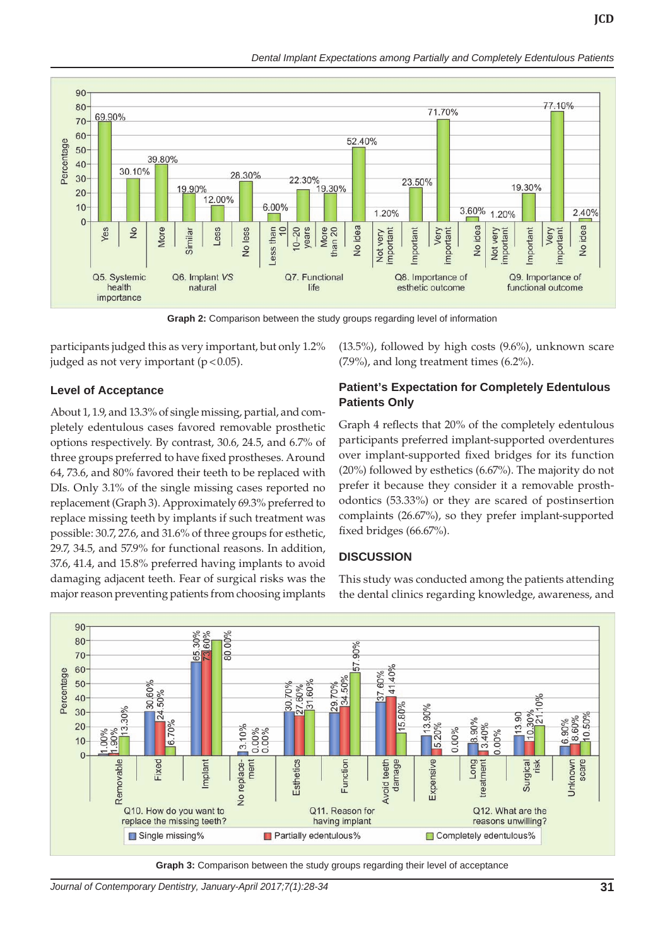**JCD**



**Graph 2:** Comparison between the study groups regarding level of information

participants judged this as very important, but only 1.2% judged as not very important  $(p < 0.05)$ .

## **Level of Acceptance**

About 1, 1.9, and 13.3% of single missing, partial, and completely edentulous cases favored removable prosthetic options respectively. By contrast, 30.6, 24.5, and 6.7% of three groups preferred to have fixed prostheses. Around 64, 73.6, and 80% favored their teeth to be replaced with DIs. Only 3.1% of the single missing cases reported no replacement (Graph 3). Approximately 69.3% preferred to replace missing teeth by implants if such treatment was possible: 30.7, 27.6, and 31.6% of three groups for esthetic, 29.7, 34.5, and 57.9% for functional reasons. In addition, 37.6, 41.4, and 15.8% preferred having implants to avoid damaging adjacent teeth. Fear of surgical risks was the major reason preventing patients from choosing implants

(13.5%), followed by high costs (9.6%), unknown scare (7.9%), and long treatment times (6.2%).

## **Patient's Expectation for Completely Edentulous Patients Only**

Graph 4 reflects that 20% of the completely edentulous participants preferred implant-supported overdentures over implant-supported fixed bridges for its function (20%) followed by esthetics (6.67%). The majority do not prefer it because they consider it a removable prosthodontics (53.33%) or they are scared of postinsertion complaints (26.67%), so they prefer implant-supported fixed bridges (66.67%).

## **DISCUSSION**

This study was conducted among the patients attending the dental clinics regarding knowledge, awareness, and



**Graph 3:** Comparison between the study groups regarding their level of acceptance

*Journal of Contemporary Dentistry, January-April 2017;7(1):28-34* **31**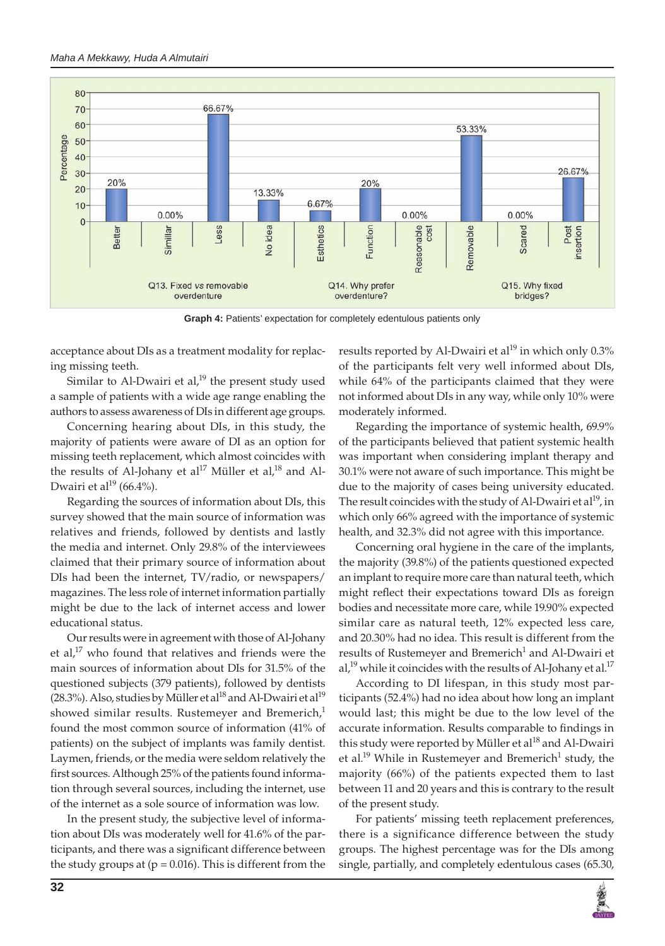

**Graph 4:** Patients' expectation for completely edentulous patients only

acceptance about DIs as a treatment modality for replacing missing teeth.

Similar to Al-Dwairi et al, $^{19}$  the present study used a sample of patients with a wide age range enabling the authors to assess awareness of DIs in different age groups.

Concerning hearing about DIs, in this study, the majority of patients were aware of DI as an option for missing teeth replacement, which almost coincides with the results of Al-Johany et al<sup>17</sup> Müller et al,<sup>18</sup> and Al-Dwairi et al<sup>19</sup> (66.4%).

Regarding the sources of information about DIs, this survey showed that the main source of information was relatives and friends, followed by dentists and lastly the media and internet. Only 29.8% of the interviewees claimed that their primary source of information about DIs had been the internet, TV/radio, or newspapers/ magazines. The less role of internet information partially might be due to the lack of internet access and lower educational status.

Our results were in agreement with those of Al-Johany et al,<sup>17</sup> who found that relatives and friends were the main sources of information about DIs for 31.5% of the questioned subjects (379 patients), followed by dentists (28.3%). Also, studies by Müller et al<sup>18</sup> and Al-Dwairi et al<sup>19</sup> showed similar results. Rustemeyer and Bremerich, $<sup>1</sup>$ </sup> found the most common source of information (41% of patients) on the subject of implants was family dentist. Laymen, friends, or the media were seldom relatively the first sources. Although 25% of the patients found information through several sources, including the internet, use of the internet as a sole source of information was low.

In the present study, the subjective level of information about DIs was moderately well for 41.6% of the participants, and there was a significant difference between the study groups at  $(p = 0.016)$ . This is different from the results reported by Al-Dwairi et al<sup>19</sup> in which only  $0.3\%$ of the participants felt very well informed about DIs, while 64% of the participants claimed that they were not informed about DIs in any way, while only 10% were moderately informed.

Regarding the importance of systemic health, 69.9% of the participants believed that patient systemic health was important when considering implant therapy and 30.1% were not aware of such importance. This might be due to the majority of cases being university educated. The result coincides with the study of Al-Dwairi et al<sup>19</sup>, in which only 66% agreed with the importance of systemic health, and 32.3% did not agree with this importance.

Concerning oral hygiene in the care of the implants, the majority (39.8%) of the patients questioned expected an implant to require more care than natural teeth, which might reflect their expectations toward DIs as foreign bodies and necessitate more care, while 19.90% expected similar care as natural teeth, 12% expected less care, and 20.30% had no idea. This result is different from the results of Rustemeyer and Bremerich<sup>1</sup> and Al-Dwairi et al,<sup>19</sup> while it coincides with the results of Al-Johany et al.<sup>17</sup>

According to DI lifespan, in this study most participants (52.4%) had no idea about how long an implant would last; this might be due to the low level of the accurate information. Results comparable to findings in this study were reported by Müller et al<sup>18</sup> and Al-Dwairi et al.<sup>19</sup> While in Rustemeyer and Bremerich<sup>1</sup> study, the majority (66%) of the patients expected them to last between 11 and 20 years and this is contrary to the result of the present study.

For patients' missing teeth replacement preferences, there is a significance difference between the study groups. The highest percentage was for the DIs among single, partially, and completely edentulous cases (65.30,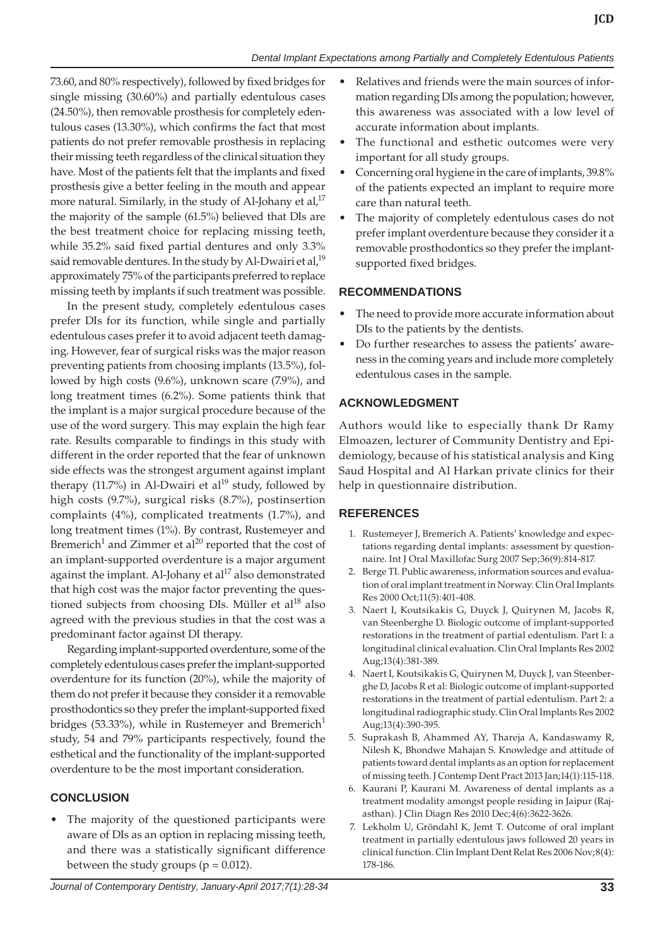73.60, and 80% respectively), followed by fixed bridges for single missing (30.60%) and partially edentulous cases (24.50%), then removable prosthesis for completely edentulous cases (13.30%), which confirms the fact that most patients do not prefer removable prosthesis in replacing their missing teeth regardless of the clinical situation they have. Most of the patients felt that the implants and fixed prosthesis give a better feeling in the mouth and appear more natural. Similarly, in the study of Al-Johany et al, $17$ the majority of the sample (61.5%) believed that DIs are the best treatment choice for replacing missing teeth, while 35.2% said fixed partial dentures and only 3.3% said removable dentures. In the study by Al-Dwairi et al, $^{19}$ approximately 75% of the participants preferred to replace missing teeth by implants if such treatment was possible.

In the present study, completely edentulous cases prefer DIs for its function, while single and partially edentulous cases prefer it to avoid adjacent teeth damaging. However, fear of surgical risks was the major reason preventing patients from choosing implants (13.5%), followed by high costs (9.6%), unknown scare (7.9%), and long treatment times (6.2%). Some patients think that the implant is a major surgical procedure because of the use of the word surgery. This may explain the high fear rate. Results comparable to findings in this study with different in the order reported that the fear of unknown side effects was the strongest argument against implant therapy (11.7%) in Al-Dwairi et al<sup>19</sup> study, followed by high costs (9.7%), surgical risks (8.7%), postinsertion complaints (4%), complicated treatments (1.7%), and long treatment times (1%). By contrast, Rustemeyer and Bremerich<sup>1</sup> and Zimmer et al<sup>20</sup> reported that the cost of an implant-supported overdenture is a major argument against the implant. Al-Johany et  $al^{17}$  also demonstrated that high cost was the major factor preventing the questioned subjects from choosing DIs. Müller et al $^{18}$  also agreed with the previous studies in that the cost was a predominant factor against DI therapy.

Regarding implant-supported overdenture, some of the completely edentulous cases prefer the implant-supported overdenture for its function (20%), while the majority of them do not prefer it because they consider it a removable prosthodontics so they prefer the implant-supported fixed bridges (53.33%), while in Rustemeyer and Bremerich<sup>1</sup> study, 54 and 79% participants respectively, found the esthetical and the functionality of the implant-supported overdenture to be the most important consideration.

# **CONCLUSION**

The majority of the questioned participants were aware of DIs as an option in replacing missing teeth, and there was a statistically significant difference between the study groups ( $p = 0.012$ ).

- Relatives and friends were the main sources of information regarding DIs among the population; however, this awareness was associated with a low level of accurate information about implants.
- The functional and esthetic outcomes were very important for all study groups.
- Concerning oral hygiene in the care of implants, 39.8% of the patients expected an implant to require more care than natural teeth.
- The majority of completely edentulous cases do not prefer implant overdenture because they consider it a removable prosthodontics so they prefer the implantsupported fixed bridges.

## **RECOMMENDATIONS**

- The need to provide more accurate information about DIs to the patients by the dentists.
- Do further researches to assess the patients' awareness in the coming years and include more completely edentulous cases in the sample.

## **ACKNOWLEDGMENT**

Authors would like to especially thank Dr Ramy Elmoazen, lecturer of Community Dentistry and Epidemiology, because of his statistical analysis and King Saud Hospital and Al Harkan private clinics for their help in questionnaire distribution.

## **REFERENCES**

- 1. Rustemeyer J, Bremerich A. Patients' knowledge and expectations regarding dental implants: assessment by questionnaire. Int J Oral Maxillofac Surg 2007 Sep;36(9):814-817.
- 2. Berge TI. Public awareness, information sources and evaluation of oral implant treatment in Norway. Clin Oral Implants Res 2000 Oct;11(5):401-408.
- 3. Naert I, Koutsikakis G, Duyck J, Quirynen M, Jacobs R, van Steenberghe D. Biologic outcome of implant-supported restorations in the treatment of partial edentulism. Part I: a longitudinal clinical evaluation. Clin Oral Implants Res 2002 Aug;13(4):381-389.
- 4. Naert I, Koutsikakis G, Quirynen M, Duyck J, van Steenberghe D, Jacobs R et al: Biologic outcome of implant-supported restorations in the treatment of partial edentulism. Part 2: a longitudinal radiographic study. Clin Oral Implants Res 2002 Aug;13(4):390-395.
- 5. Suprakash B, Ahammed AY, Thareja A, Kandaswamy R, Nilesh K, Bhondwe Mahajan S. Knowledge and attitude of patients toward dental implants as an option for replacement of missing teeth. J Contemp Dent Pract 2013 Jan;14(1):115-118.
- 6. Kaurani P, Kaurani M. Awareness of dental implants as a treatment modality amongst people residing in Jaipur (Rajasthan). J Clin Diagn Res 2010 Dec;4(6):3622-3626.
- 7. Lekholm U, Gröndahl K, Jemt T. Outcome of oral implant treatment in partially edentulous jaws followed 20 years in clinical function. Clin Implant Dent Relat Res 2006 Nov;8(4): 178-186.